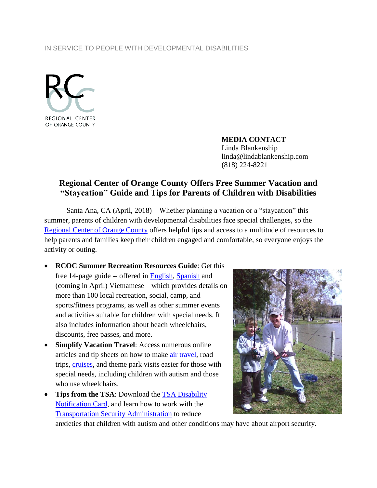## IN SERVICE TO PEOPLE WITH DEVELOPMENTAL DISABILITIES



**MEDIA CONTACT** Linda Blankenship linda@lindablankenship.com (818) 224-8221

## **Regional Center of Orange County Offers Free Summer Vacation and "Staycation" Guide and Tips for Parents of Children with Disabilities**

Santa Ana, CA (April, 2018) – Whether planning a vacation or a "staycation" this summer, parents of children with developmental disabilities face special challenges, so the [Regional Center of Orange County](http://www.rcocdd.com/) offers helpful tips and access to a multitude of resources to help parents and families keep their children engaged and comfortable, so everyone enjoys the activity or outing.

- **RCOC Summer Recreation Resources Guide**: Get this free 14-page guide -- offered in **English**, [Spanish](http://www.rcocdd.com/wp-content/uploads/2017/06/Recreation-Resource-Guide-6.2017-SP-1.pdf) and (coming in April) Vietnamese – which provides details on more than 100 local recreation, social, camp, and sports/fitness programs, as well as other summer events and activities suitable for children with special needs. It also includes information about beach wheelchairs, discounts, free passes, and more.
- **Simplify Vacation Travel**: Access numerous online articles and tip sheets on how to make [air travel,](http://www.specialneedstravelmom.com/wheelchair-airplane-travel/9-tips-for-flying-with-your-special-needs-child/) road trips, [cruises,](http://autismontheseas.com/) and theme park visits easier for those with special needs, including children with autism and those who use wheelchairs.
- Tips from the TSA: Download the TSA Disability [Notification Card,](https://www.tsa.gov/sites/default/files/disability_notification_card_508.pdf) and learn how to work with the [Transportation Security Administration](https://www.tsa.gov/travel/special-procedures) to reduce



anxieties that children with autism and other conditions may have about airport security.